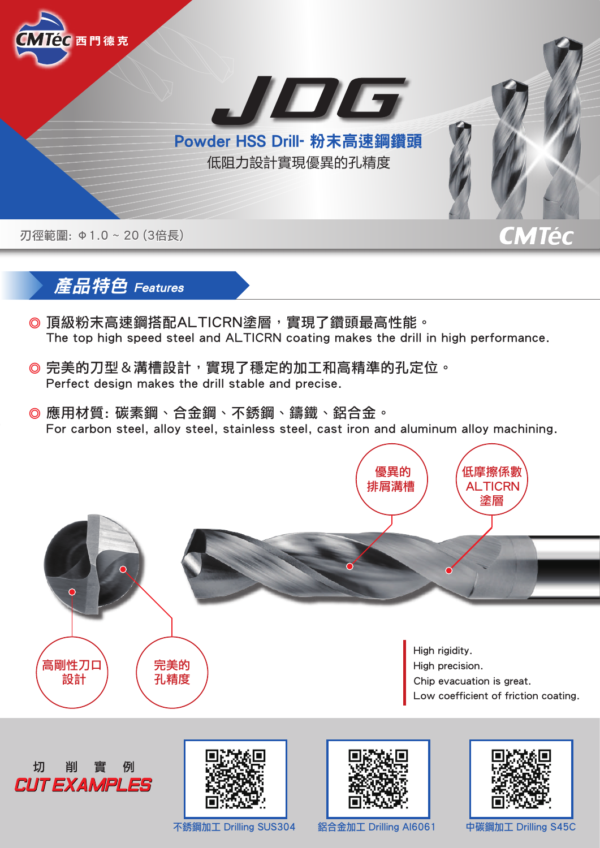

## 產品特色 Features

- ◎ 頂級粉末高速鋼搭配ALTICRN塗層,實現了鑽頭最高性能。 The top high speed steel and ALTICRN coating makes the drill in high performance.
- ◎ 完美的刀型&溝槽設計,實現了穩定的加工和高精準的孔定位。 Perfect design makes the drill stable and precise.
- ◎ 應用材質: 碳素鋼、合金鋼、不銹鋼、鑄鐵、鋁合金。 For carbon steel, alloy steel, stainless steel, cast iron and aluminum alloy machining.

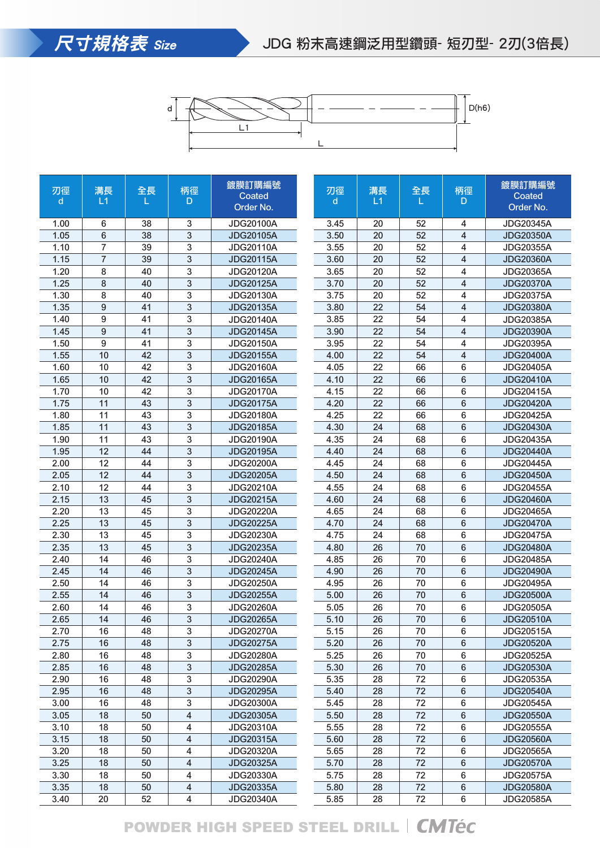



| 刃徑<br>d | 溝長<br>L1       | 全長<br>L | 柄徑<br>D.                | 鍍膜訂購編號<br>Coated<br>Order No. |  | 刃徑<br>d | 溝長<br>L1 | 全長<br>L | 柄徑<br>D         | 鍍膜訂購編號<br>Coated<br>Order No. |
|---------|----------------|---------|-------------------------|-------------------------------|--|---------|----------|---------|-----------------|-------------------------------|
| 1.00    | 6              | 38      | 3                       | <b>JDG20100A</b>              |  | 3.45    | 20       | 52      | 4               | JDG20345A                     |
| 1.05    | 6              | 38      | 3                       | <b>JDG20105A</b>              |  | 3.50    | 20       | 52      | 4               | <b>JDG20350A</b>              |
| 1.10    | $\overline{7}$ | 39      | 3                       | <b>JDG20110A</b>              |  | 3.55    | 20       | 52      | 4               | <b>JDG20355A</b>              |
| 1.15    | $\overline{7}$ | 39      | 3                       | <b>JDG20115A</b>              |  | 3.60    | 20       | 52      | 4               | <b>JDG20360A</b>              |
| 1.20    | 8              | 40      | 3                       | <b>JDG20120A</b>              |  | 3.65    | 20       | 52      | 4               | <b>JDG20365A</b>              |
| 1.25    | 8              | 40      | 3                       | <b>JDG20125A</b>              |  | 3.70    | 20       | 52      | 4               | <b>JDG20370A</b>              |
| 1.30    | 8              | 40      | 3                       | <b>JDG20130A</b>              |  | 3.75    | 20       | 52      | 4               | <b>JDG20375A</b>              |
| 1.35    | 9              | 41      | 3                       | <b>JDG20135A</b>              |  | 3.80    | 22       | 54      | 4               | <b>JDG20380A</b>              |
| 1.40    | 9              | 41      | 3                       | <b>JDG20140A</b>              |  | 3.85    | 22       | 54      | 4               | <b>JDG20385A</b>              |
| 1.45    | 9              | 41      | 3                       | <b>JDG20145A</b>              |  | 3.90    | 22       | 54      | 4               | <b>JDG20390A</b>              |
| 1.50    | 9              | 41      | 3                       | JDG20150A                     |  | 3.95    | 22       | 54      | 4               | JDG20395A                     |
| 1.55    | 10             | 42      | 3                       | <b>JDG20155A</b>              |  | 4.00    | 22       | 54      | $\overline{4}$  | <b>JDG20400A</b>              |
| 1.60    | 10             | 42      | 3                       | <b>JDG20160A</b>              |  | 4.05    | 22       | 66      | 6               | <b>JDG20405A</b>              |
| 1.65    | 10             | 42      | 3                       | <b>JDG20165A</b>              |  | 4.10    | 22       | 66      | 6               | <b>JDG20410A</b>              |
| 1.70    | 10             | 42      | 3                       | <b>JDG20170A</b>              |  | 4.15    | 22       | 66      | 6               | <b>JDG20415A</b>              |
| 1.75    | 11             | 43      | 3                       | <b>JDG20175A</b>              |  | 4.20    | 22       | 66      | 6               | <b>JDG20420A</b>              |
| 1.80    | 11             | 43      | 3                       | JDG20180A                     |  | 4.25    | 22       | 66      | 6               | <b>JDG20425A</b>              |
| 1.85    | 11             | 43      | 3                       | <b>JDG20185A</b>              |  | 4.30    | 24       | 68      | 6               | <b>JDG20430A</b>              |
| 1.90    | 11             | 43      | 3                       | <b>JDG20190A</b>              |  | 4.35    | 24       | 68      | 6               | <b>JDG20435A</b>              |
| 1.95    | 12             | 44      | 3                       | <b>JDG20195A</b>              |  | 4.40    | 24       | 68      | 6               | <b>JDG20440A</b>              |
| 2.00    | 12             | 44      | 3                       | <b>JDG20200A</b>              |  | 4.45    | 24       | 68      | 6               | <b>JDG20445A</b>              |
| 2.05    | 12             | 44      | 3                       | <b>JDG20205A</b>              |  | 4.50    | 24       | 68      | $\,6$           | <b>JDG20450A</b>              |
| 2.10    | 12             | 44      | 3                       | <b>JDG20210A</b>              |  | 4.55    | 24       | 68      | 6               | <b>JDG20455A</b>              |
| 2.15    | 13             | 45      | 3                       | <b>JDG20215A</b>              |  | 4.60    | 24       | 68      | 6               | <b>JDG20460A</b>              |
| 2.20    | 13             | 45      | 3                       | <b>JDG20220A</b>              |  | 4.65    | 24       | 68      | 6               | <b>JDG20465A</b>              |
| 2.25    | 13             | 45      | 3                       | <b>JDG20225A</b>              |  | 4.70    | 24       | 68      | $6\phantom{1}6$ | <b>JDG20470A</b>              |
| 2.30    | 13             | 45      | 3                       | <b>JDG20230A</b>              |  | 4.75    | 24       | 68      | 6               | <b>JDG20475A</b>              |
| 2.35    | 13             | 45      | 3                       | <b>JDG20235A</b>              |  | 4.80    | 26       | 70      | $6\phantom{1}6$ | <b>JDG20480A</b>              |
| 2.40    | 14             | 46      | 3                       | <b>JDG20240A</b>              |  | 4.85    | 26       | 70      | 6               | <b>JDG20485A</b>              |
| 2.45    | 14             | 46      | 3                       | <b>JDG20245A</b>              |  | 4.90    | 26       | 70      | $6\phantom{1}6$ | <b>JDG20490A</b>              |
| 2.50    | 14             | 46      | 3                       | <b>JDG20250A</b>              |  | 4.95    | 26       | 70      | 6               | <b>JDG20495A</b>              |
| 2.55    | 14             | 46      | 3                       | <b>JDG20255A</b>              |  | 5.00    | 26       | 70      | 6               | <b>JDG20500A</b>              |
| 2.60    | 14             | 46      | 3                       | <b>JDG20260A</b>              |  | 5.05    | 26       | 70      | 6               | <b>JDG20505A</b>              |
| 2.65    | 14             | 46      | 3                       | <b>JDG20265A</b>              |  | 5.10    | 26       | 70      | 6               | <b>JDG20510A</b>              |
| 2.70    | 16             | 48      | 3                       | <b>JDG20270A</b>              |  | 5.15    | 26       | $70\,$  | 6               | JDG20515A                     |
| 2.75    | 16             | 48      | 3                       | <b>JDG20275A</b>              |  | 5.20    | 26       | 70      | 6               | <b>JDG20520A</b>              |
| 2.80    | 16             | 48      | 3                       | JDG20280A                     |  | 5.25    | 26       | 70      | 6               | <b>JDG20525A</b>              |
| 2.85    | 16             | 48      | 3                       | <b>JDG20285A</b>              |  | 5.30    | 26       | 70      | $\,6\,$         | <b>JDG20530A</b>              |
| 2.90    | 16             | 48      | 3                       | <b>JDG20290A</b>              |  | 5.35    | 28       | 72      | 6               | JDG20535A                     |
| 2.95    | 16             | 48      | $\sqrt{3}$              | <b>JDG20295A</b>              |  | 5.40    | 28       | 72      | 6               | <b>JDG20540A</b>              |
| 3.00    | 16             | 48      | 3                       | JDG20300A                     |  | 5.45    | 28       | 72      | 6               | <b>JDG20545A</b>              |
| 3.05    | 18             | 50      | $\overline{\mathbf{4}}$ | <b>JDG20305A</b>              |  | 5.50    | 28       | 72      | $\,6\,$         | <b>JDG20550A</b>              |
| 3.10    | 18             | 50      | 4                       | <b>JDG20310A</b>              |  | 5.55    | 28       | 72      | 6               | <b>JDG20555A</b>              |
| 3.15    | 18             | 50      | $\overline{\mathbf{4}}$ | <b>JDG20315A</b>              |  | 5.60    | 28       | 72      | $\,6\,$         | <b>JDG20560A</b>              |
| 3.20    | 18             | 50      | 4                       | <b>JDG20320A</b>              |  | 5.65    | 28       | 72      | 6               | <b>JDG20565A</b>              |
| 3.25    | 18             | 50      | 4                       | <b>JDG20325A</b>              |  | 5.70    | 28       | 72      | $\,6$           | <b>JDG20570A</b>              |
| 3.30    | 18             | 50      | 4                       | JDG20330A                     |  | 5.75    | 28       | 72      | $\,6$           | <b>JDG20575A</b>              |
| 3.35    | 18             | 50      | $\overline{\mathbf{4}}$ | <b>JDG20335A</b>              |  | 5.80    | 28       | 72      | 6               | <b>JDG20580A</b>              |
| 3.40    | 20             | 52      | 4                       | <b>JDG20340A</b>              |  | 5.85    | 28       | 72      | 6               | <b>JDG20585A</b>              |

## POWDER HIGH SPEED STEEL DRILL | CMTéc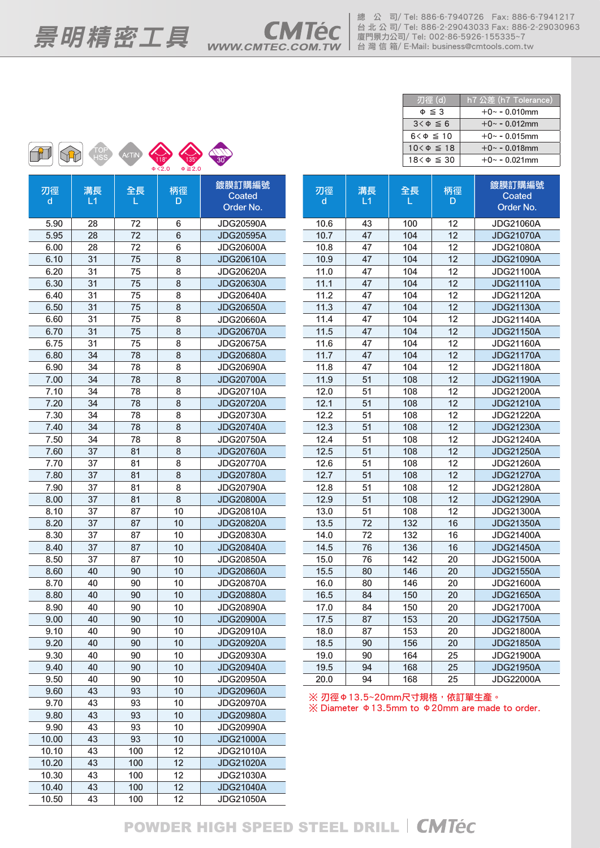總 公 司/ Tel: 886-6-7940726 Fax: 886-6-7941217 台 北 公 司/ Tel: 886-2-29043033 Fax: 886-2-29030963  $\equiv$   $\frac{E}{E}$   $\frac{E}{E}$   $\frac{E}{E}$   $\frac{E}{E}$   $\frac{E}{E}$   $\frac{E}{E}$   $\frac{E}{E}$   $\frac{E}{E}$   $\frac{E}{E}$   $\frac{E}{E}$   $\frac{E}{E}$   $\frac{E}{E}$   $\frac{E}{E}$   $\frac{E}{E}$   $\frac{E}{E}$   $\frac{E}{E}$   $\frac{E}{E}$   $\frac{E}{E}$   $\frac{E}{E}$   $\frac{E}{E}$   $\frac{E}{E}$   $\frac{E}{$ 



| 刃徑 (d)              | h7 $\Delta \neq$ (h7 Tolerance) |  |  |  |  |  |  |  |
|---------------------|---------------------------------|--|--|--|--|--|--|--|
| $\Phi \leq 3$       | $+0$ ~ - 0.010mm                |  |  |  |  |  |  |  |
| $3<\Phi \leq 6$     | $+0$ ~ - 0.012mm                |  |  |  |  |  |  |  |
| $6 < \Phi \leq 10$  | $+0$ ~ - 0.015mm                |  |  |  |  |  |  |  |
| $10 < \Phi \leq 18$ | $+0$ ~ - 0.018mm                |  |  |  |  |  |  |  |
| $18<\phi \leq 30$   | $+0$ ~ - 0.021mm                |  |  |  |  |  |  |  |

| 刃徑    | 溝長 | 全長  | 柄徑 | 鍍膜訂購編號           |  |  |  |
|-------|----|-----|----|------------------|--|--|--|
| d     | L1 | L   | D  | Coated           |  |  |  |
|       |    |     |    | Order No.        |  |  |  |
| 5.90  | 28 | 72  | 6  | <b>JDG20590A</b> |  |  |  |
| 5.95  | 28 | 72  | 6  | <b>JDG20595A</b> |  |  |  |
| 6.00  | 28 | 72  | 6  | <b>JDG20600A</b> |  |  |  |
| 6.10  | 31 | 75  | 8  | <b>JDG20610A</b> |  |  |  |
| 6.20  | 31 | 75  | 8  | <b>JDG20620A</b> |  |  |  |
| 6.30  | 31 | 75  | 8  | <b>JDG20630A</b> |  |  |  |
| 6.40  | 31 | 75  | 8  | <b>JDG20640A</b> |  |  |  |
| 6.50  | 31 | 75  | 8  | <b>JDG20650A</b> |  |  |  |
| 6.60  | 31 | 75  | 8  | <b>JDG20660A</b> |  |  |  |
| 6.70  | 31 | 75  | 8  | <b>JDG20670A</b> |  |  |  |
| 6.75  | 31 | 75  | 8  | <b>JDG20675A</b> |  |  |  |
| 6.80  | 34 | 78  | 8  | <b>JDG20680A</b> |  |  |  |
| 6.90  | 34 | 78  | 8  | <b>JDG20690A</b> |  |  |  |
| 7.00  | 34 | 78  | 8  | <b>JDG20700A</b> |  |  |  |
| 7.10  | 34 | 78  | 8  | <b>JDG20710A</b> |  |  |  |
| 7.20  | 34 | 78  | 8  | <b>JDG20720A</b> |  |  |  |
| 7.30  | 34 | 78  | 8  | <b>JDG20730A</b> |  |  |  |
| 7.40  | 34 | 78  | 8  | <b>JDG20740A</b> |  |  |  |
| 7.50  | 34 | 78  | 8  | <b>JDG20750A</b> |  |  |  |
| 7.60  | 37 | 81  | 8  | <b>JDG20760A</b> |  |  |  |
| 7.70  | 37 | 81  | 8  | <b>JDG20770A</b> |  |  |  |
| 7.80  | 37 | 81  | 8  | <b>JDG20780A</b> |  |  |  |
| 7.90  | 37 | 81  | 8  | <b>JDG20790A</b> |  |  |  |
| 8.00  | 37 | 81  | 8  | <b>JDG20800A</b> |  |  |  |
| 8.10  | 37 | 87  | 10 | <b>JDG20810A</b> |  |  |  |
| 8.20  | 37 | 87  | 10 | <b>JDG20820A</b> |  |  |  |
| 8.30  | 37 | 87  | 10 | JDG20830A        |  |  |  |
| 8.40  | 37 | 87  | 10 | <b>JDG20840A</b> |  |  |  |
| 8.50  | 37 | 87  | 10 | <b>JDG20850A</b> |  |  |  |
| 8.60  | 40 | 90  | 10 | <b>JDG20860A</b> |  |  |  |
| 8.70  | 40 | 90  | 10 | <b>JDG20870A</b> |  |  |  |
| 8.80  | 40 | 90  | 10 | <b>JDG20880A</b> |  |  |  |
| 8.90  | 40 | 90  | 10 | <b>JDG20890A</b> |  |  |  |
| 9.00  | 40 | 90  | 10 | <b>JDG20900A</b> |  |  |  |
| 9.10  | 40 | 90  | 10 | <b>JDG20910A</b> |  |  |  |
| 9.20  | 40 | 90  | 10 | <b>JDG20920A</b> |  |  |  |
| 9.30  | 40 | 90  | 10 | <b>JDG20930A</b> |  |  |  |
| 9.40  | 40 | 90  | 10 | <b>JDG20940A</b> |  |  |  |
| 9.50  | 40 | 90  | 10 | <b>JDG20950A</b> |  |  |  |
| 9.60  | 43 | 93  | 10 | <b>JDG20960A</b> |  |  |  |
| 9.70  | 43 | 93  | 10 | <b>JDG20970A</b> |  |  |  |
| 9.80  | 43 | 93  | 10 | <b>JDG20980A</b> |  |  |  |
| 9.90  | 43 | 93  | 10 | <b>JDG20990A</b> |  |  |  |
| 10.00 | 43 | 93  | 10 | <b>JDG21000A</b> |  |  |  |
| 10.10 | 43 | 100 | 12 | <b>JDG21010A</b> |  |  |  |
| 10.20 | 43 | 100 | 12 | <b>JDG21020A</b> |  |  |  |
| 10.30 | 43 | 100 | 12 | <b>JDG21030A</b> |  |  |  |
| 10.40 | 43 | 100 | 12 | <b>JDG21040A</b> |  |  |  |
| 10.50 | 43 | 100 | 12 | <b>JDG21050A</b> |  |  |  |
|       |    |     |    |                  |  |  |  |

| 刃徑<br>d | 溝長<br>L1 | 全長<br>L.  | 柄徑<br>D | 鍍膜訂購編號<br>Coated<br>Order No. |
|---------|----------|-----------|---------|-------------------------------|
|         |          |           |         |                               |
| 10.6    | 43       | 100       | 12      | <b>JDG21060A</b>              |
| 10.7    | 47       | 104       | 12      | <b>JDG21070A</b>              |
| 10.8    | 47       | 104       | 12      | <b>JDG21080A</b>              |
| 10.9    | 47       | 104       | 12      | <b>JDG21090A</b>              |
| 11.0    | 47       | 104       | 12      | <b>JDG21100A</b>              |
| 11.1    | 47       | 104       | 12      | <b>JDG21110A</b>              |
| 11.2    | 47       | 104       | 12      | JDG21120A                     |
| 11.3    | 47       | 104       | 12      | <b>JDG21130A</b>              |
| 11.4    | 47       | 104       | 12      | <b>JDG21140A</b>              |
| 11.5    | 47       | 104       | 12      | <b>JDG21150A</b>              |
| 11.6    | 47       | 104       | 12      | <b>JDG21160A</b>              |
| 11.7    | 47       | 104       | 12      | <b>JDG21170A</b>              |
| 11.8    | 47       | 104       | 12      | <b>JDG21180A</b>              |
| 11.9    | 51       | 108       | 12      | <b>JDG21190A</b>              |
| 12.0    | 51       | 108       | 12      | <b>JDG21200A</b>              |
| 12.1    | 51       | 108       | 12      | <b>JDG21210A</b>              |
| 12.2    | 51       | 108       | 12      | <b>JDG21220A</b>              |
| 12.3    | 51       | 108       | 12      | <b>JDG21230A</b>              |
| 12.4    | 51       | 108       | 12      | <b>JDG21240A</b>              |
| 12.5    | 51       | 108       | 12      | <b>JDG21250A</b>              |
| 12.6    | 51       | 108       | 12      | <b>JDG21260A</b>              |
| 12.7    | 51       | 108       | 12      | <b>JDG21270A</b>              |
| 12.8    | 51       | 108       | 12      | <b>JDG21280A</b>              |
| 12.9    | 51       | 108       | 12      | <b>JDG21290A</b>              |
| 13.0    | 51       | 108       | 12      | <b>JDG21300A</b>              |
| 13.5    | 72       | 132       | 16      | <b>JDG21350A</b>              |
| 14.0    | 72       | 132       | 16      | <b>JDG21400A</b>              |
| 14.5    | 76       | 136       | 16      | <b>JDG21450A</b>              |
| 15.0    | 76       | 142       | 20      | <b>JDG21500A</b>              |
| 15.5    | 80       | 146       | 20      | <b>JDG21550A</b>              |
| 16.0    | 80       | 146       | 20      | <b>JDG21600A</b>              |
| 16.5    | 84       | 150       | 20      | <b>JDG21650A</b>              |
| 17.0    | 84       | 150       | 20      | <b>JDG21700A</b>              |
| 17.5    | 87       | 153       | 20      | <b>JDG21750A</b>              |
| 18.0    | 87       | 153       | 20      | <b>JDG21800A</b>              |
| 18.5    | 90       | 156       | 20      | <b>JDG21850A</b>              |
| 19.0    | 90       | 164<br>25 |         | <b>JDG21900A</b>              |
| 19.5    | 94       | 168       | 25      | <b>JDG21950A</b>              |
| 20.0    | 94       | 168       | 25      | <b>JDG22000A</b>              |

 $%$  刃徑Φ13.5~20mm尺寸規格,依訂單生產。 ※ Diameter Φ13.5mm to Φ20mm are made to order.

## POWDER HIGH SPEED STEEL DRILL | CMTéc